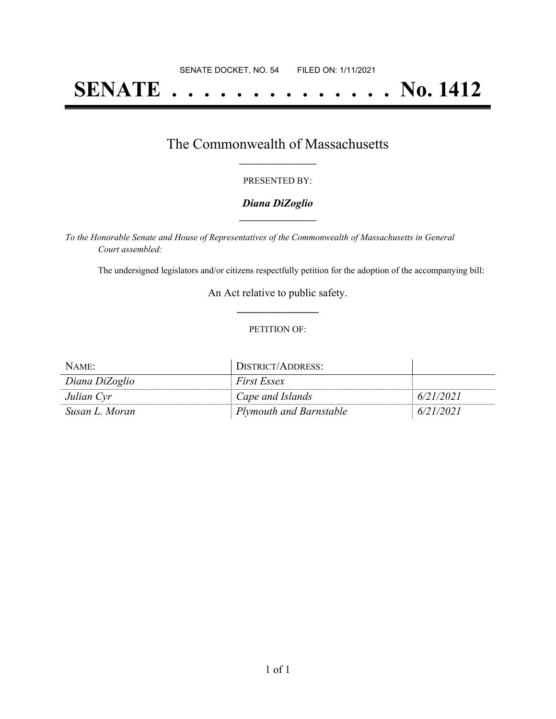# **SENATE . . . . . . . . . . . . . . No. 1412**

## The Commonwealth of Massachusetts **\_\_\_\_\_\_\_\_\_\_\_\_\_\_\_\_\_**

#### PRESENTED BY:

#### *Diana DiZoglio* **\_\_\_\_\_\_\_\_\_\_\_\_\_\_\_\_\_**

*To the Honorable Senate and House of Representatives of the Commonwealth of Massachusetts in General Court assembled:*

The undersigned legislators and/or citizens respectfully petition for the adoption of the accompanying bill:

An Act relative to public safety. **\_\_\_\_\_\_\_\_\_\_\_\_\_\_\_**

#### PETITION OF:

| NAME:          | DISTRICT/ADDRESS:       |           |
|----------------|-------------------------|-----------|
| Diana DiZoglio | <i>First Essex</i>      |           |
| Julian Cyr     | Cape and Islands        | 6/21/2021 |
| Susan L. Moran | Plymouth and Barnstable | 6/21/2021 |